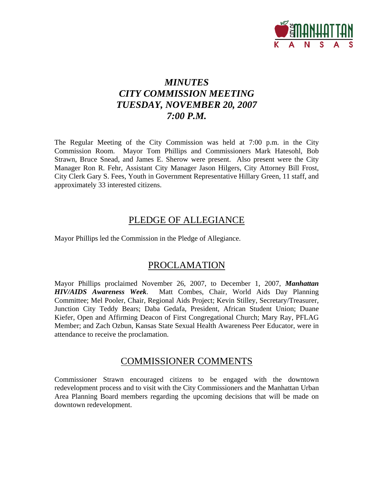

# *MINUTES CITY COMMISSION MEETING TUESDAY, NOVEMBER 20, 2007 7:00 P.M.*

The Regular Meeting of the City Commission was held at 7:00 p.m. in the City Commission Room. Mayor Tom Phillips and Commissioners Mark Hatesohl, Bob Strawn, Bruce Snead, and James E. Sherow were present. Also present were the City Manager Ron R. Fehr, Assistant City Manager Jason Hilgers, City Attorney Bill Frost, City Clerk Gary S. Fees, Youth in Government Representative Hillary Green, 11 staff, and approximately 33 interested citizens.

# PLEDGE OF ALLEGIANCE

Mayor Phillips led the Commission in the Pledge of Allegiance.

# PROCLAMATION

Mayor Phillips proclaimed November 26, 2007, to December 1, 2007, *Manhattan HIV/AIDS Awareness Week*. Matt Combes, Chair, World Aids Day Planning Committee; Mel Pooler, Chair, Regional Aids Project; Kevin Stilley, Secretary/Treasurer, Junction City Teddy Bears; Daba Gedafa, President, African Student Union; Duane Kiefer, Open and Affirming Deacon of First Congregational Church; Mary Ray, PFLAG Member; and Zach Ozbun, Kansas State Sexual Health Awareness Peer Educator, were in attendance to receive the proclamation.

# COMMISSIONER COMMENTS

Commissioner Strawn encouraged citizens to be engaged with the downtown redevelopment process and to visit with the City Commissioners and the Manhattan Urban Area Planning Board members regarding the upcoming decisions that will be made on downtown redevelopment.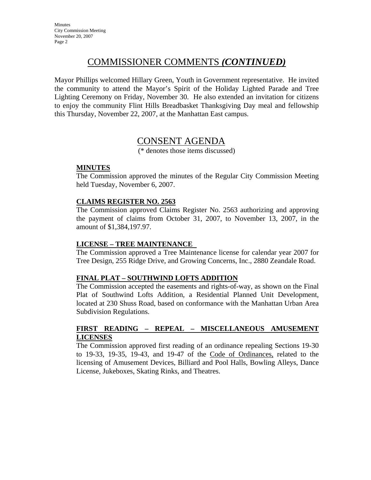# COMMISSIONER COMMENTS *(CONTINUED)*

Mayor Phillips welcomed Hillary Green, Youth in Government representative. He invited the community to attend the Mayor's Spirit of the Holiday Lighted Parade and Tree Lighting Ceremony on Friday, November 30. He also extended an invitation for citizens to enjoy the community Flint Hills Breadbasket Thanksgiving Day meal and fellowship this Thursday, November 22, 2007, at the Manhattan East campus.

# CONSENT AGENDA

(\* denotes those items discussed)

## **MINUTES**

The Commission approved the minutes of the Regular City Commission Meeting held Tuesday, November 6, 2007.

## **CLAIMS REGISTER NO. 2563**

The Commission approved Claims Register No. 2563 authorizing and approving the payment of claims from October 31, 2007, to November 13, 2007, in the amount of \$1,384,197.97.

## **LICENSE – TREE MAINTENANCE**

The Commission approved a Tree Maintenance license for calendar year 2007 for Tree Design, 255 Ridge Drive, and Growing Concerns, Inc., 2880 Zeandale Road.

## **FINAL PLAT – SOUTHWIND LOFTS ADDITION**

The Commission accepted the easements and rights-of-way, as shown on the Final Plat of Southwind Lofts Addition, a Residential Planned Unit Development, located at 230 Shuss Road, based on conformance with the Manhattan Urban Area Subdivision Regulations.

### **FIRST READING – REPEAL – MISCELLANEOUS AMUSEMENT LICENSES**

The Commission approved first reading of an ordinance repealing Sections 19-30 to 19-33, 19-35, 19-43, and 19-47 of the Code of Ordinances, related to the licensing of Amusement Devices, Billiard and Pool Halls, Bowling Alleys, Dance License, Jukeboxes, Skating Rinks, and Theatres.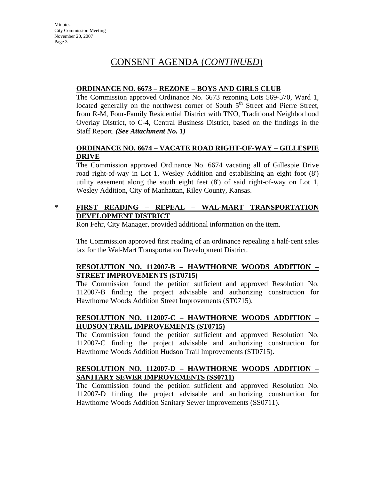# CONSENT AGENDA (*CONTINUED*)

# **ORDINANCE NO. 6673 – REZONE – BOYS AND GIRLS CLUB**

The Commission approved Ordinance No. 6673 rezoning Lots 569-570, Ward 1, located generally on the northwest corner of South  $5<sup>th</sup>$  Street and Pierre Street, from R-M, Four-Family Residential District with TNO, Traditional Neighborhood Overlay District, to C-4, Central Business District, based on the findings in the Staff Report. *(See Attachment No. 1)*

# **ORDINANCE NO. 6674 – VACATE ROAD RIGHT-OF-WAY – GILLESPIE DRIVE**

The Commission approved Ordinance No. 6674 vacating all of Gillespie Drive road right-of-way in Lot 1, Wesley Addition and establishing an eight foot (8') utility easement along the south eight feet (8') of said right-of-way on Lot 1, Wesley Addition, City of Manhattan, Riley County, Kansas.

# **\* FIRST READING – REPEAL – WAL-MART TRANSPORTATION DEVELOPMENT DISTRICT**

Ron Fehr, City Manager, provided additional information on the item.

The Commission approved first reading of an ordinance repealing a half-cent sales tax for the Wal-Mart Transportation Development District.

# **RESOLUTION NO. 112007-B – HAWTHORNE WOODS ADDITION – STREET IMPROVEMENTS (ST0715)**

The Commission found the petition sufficient and approved Resolution No. 112007-B finding the project advisable and authorizing construction for Hawthorne Woods Addition Street Improvements (ST0715).

# **RESOLUTION NO. 112007-C – HAWTHORNE WOODS ADDITION – HUDSON TRAIL IMPROVEMENTS (ST0715)**

The Commission found the petition sufficient and approved Resolution No. 112007-C finding the project advisable and authorizing construction for Hawthorne Woods Addition Hudson Trail Improvements (ST0715).

# **RESOLUTION NO. 112007-D – HAWTHORNE WOODS ADDITION – SANITARY SEWER IMPROVEMENTS (SS0711)**

The Commission found the petition sufficient and approved Resolution No. 112007-D finding the project advisable and authorizing construction for Hawthorne Woods Addition Sanitary Sewer Improvements (SS0711).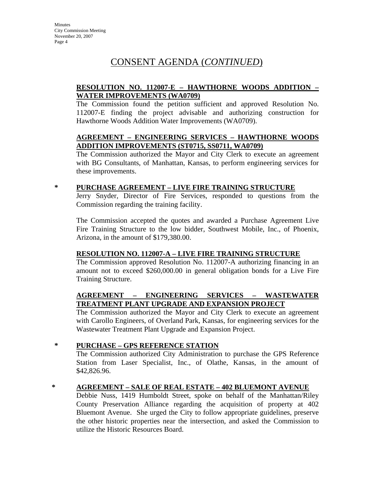# CONSENT AGENDA (*CONTINUED*)

# **RESOLUTION NO. 112007-E – HAWTHORNE WOODS ADDITION – WATER IMPROVEMENTS (WA0709)**

The Commission found the petition sufficient and approved Resolution No. 112007-E finding the project advisable and authorizing construction for Hawthorne Woods Addition Water Improvements (WA0709).

## **AGREEMENT – ENGINEERING SERVICES – HAWTHORNE WOODS ADDITION IMPROVEMENTS (ST0715, SS0711, WA0709)**

The Commission authorized the Mayor and City Clerk to execute an agreement with BG Consultants, of Manhattan, Kansas, to perform engineering services for these improvements.

# **\* PURCHASE AGREEMENT – LIVE FIRE TRAINING STRUCTURE**

Jerry Snyder, Director of Fire Services, responded to questions from the Commission regarding the training facility.

The Commission accepted the quotes and awarded a Purchase Agreement Live Fire Training Structure to the low bidder, Southwest Mobile, Inc., of Phoenix, Arizona, in the amount of \$179,380.00.

## **RESOLUTION NO. 112007-A – LIVE FIRE TRAINING STRUCTURE**

The Commission approved Resolution No. 112007-A authorizing financing in an amount not to exceed \$260,000.00 in general obligation bonds for a Live Fire Training Structure.

## **AGREEMENT – ENGINEERING SERVICES – WASTEWATER TREATMENT PLANT UPGRADE AND EXPANSION PROJECT**

The Commission authorized the Mayor and City Clerk to execute an agreement with Carollo Engineers, of Overland Park, Kansas, for engineering services for the Wastewater Treatment Plant Upgrade and Expansion Project.

## **\* PURCHASE – GPS REFERENCE STATION**

The Commission authorized City Administration to purchase the GPS Reference Station from Laser Specialist, Inc., of Olathe, Kansas, in the amount of \$42,826.96.

## **\* AGREEMENT – SALE OF REAL ESTATE – 402 BLUEMONT AVENUE**

Debbie Nuss, 1419 Humboldt Street, spoke on behalf of the Manhattan/Riley County Preservation Alliance regarding the acquisition of property at 402 Bluemont Avenue. She urged the City to follow appropriate guidelines, preserve the other historic properties near the intersection, and asked the Commission to utilize the Historic Resources Board.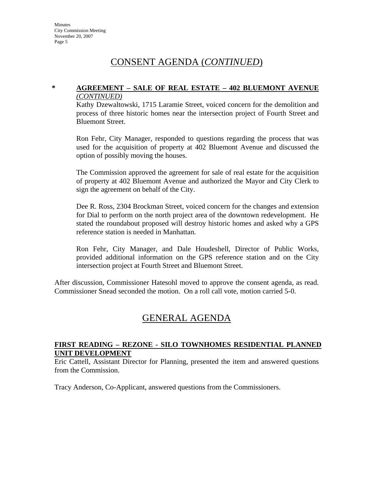# CONSENT AGENDA (*CONTINUED*)

### **\* AGREEMENT – SALE OF REAL ESTATE – 402 BLUEMONT AVENUE** *(CONTINUED)*

Kathy Dzewaltowski, 1715 Laramie Street, voiced concern for the demolition and process of three historic homes near the intersection project of Fourth Street and Bluemont Street.

Ron Fehr, City Manager, responded to questions regarding the process that was used for the acquisition of property at 402 Bluemont Avenue and discussed the option of possibly moving the houses.

The Commission approved the agreement for sale of real estate for the acquisition of property at 402 Bluemont Avenue and authorized the Mayor and City Clerk to sign the agreement on behalf of the City.

Dee R. Ross, 2304 Brockman Street, voiced concern for the changes and extension for Dial to perform on the north project area of the downtown redevelopment. He stated the roundabout proposed will destroy historic homes and asked why a GPS reference station is needed in Manhattan.

Ron Fehr, City Manager, and Dale Houdeshell, Director of Public Works, provided additional information on the GPS reference station and on the City intersection project at Fourth Street and Bluemont Street.

After discussion, Commissioner Hatesohl moved to approve the consent agenda, as read. Commissioner Snead seconded the motion. On a roll call vote, motion carried 5-0.

# GENERAL AGENDA

### **FIRST READING – REZONE - SILO TOWNHOMES RESIDENTIAL PLANNED UNIT DEVELOPMENT**

Eric Cattell, Assistant Director for Planning, presented the item and answered questions from the Commission.

Tracy Anderson, Co-Applicant, answered questions from the Commissioners.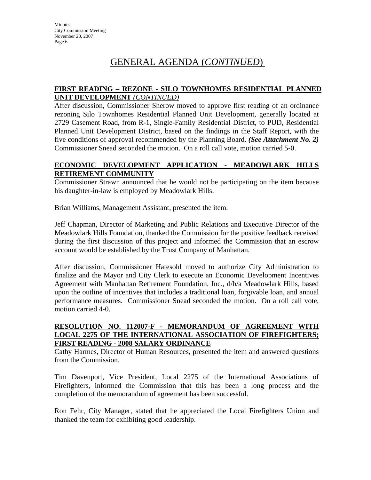# GENERAL AGENDA (*CONTINUED*)

## **FIRST READING – REZONE - SILO TOWNHOMES RESIDENTIAL PLANNED UNIT DEVELOPMENT** *(CONTINUED)*

After discussion, Commissioner Sherow moved to approve first reading of an ordinance rezoning Silo Townhomes Residential Planned Unit Development, generally located at 2729 Casement Road, from R-1, Single-Family Residential District, to PUD, Residential Planned Unit Development District, based on the findings in the Staff Report, with the five conditions of approval recommended by the Planning Board. *(See Attachment No. 2)* Commissioner Snead seconded the motion. On a roll call vote, motion carried 5-0.

## **ECONOMIC DEVELOPMENT APPLICATION - MEADOWLARK HILLS RETIREMENT COMMUNITY**

Commissioner Strawn announced that he would not be participating on the item because his daughter-in-law is employed by Meadowlark Hills.

Brian Williams, Management Assistant, presented the item.

Jeff Chapman, Director of Marketing and Public Relations and Executive Director of the Meadowlark Hills Foundation, thanked the Commission for the positive feedback received during the first discussion of this project and informed the Commission that an escrow account would be established by the Trust Company of Manhattan.

After discussion, Commissioner Hatesohl moved to authorize City Administration to finalize and the Mayor and City Clerk to execute an Economic Development Incentives Agreement with Manhattan Retirement Foundation, Inc., d/b/a Meadowlark Hills, based upon the outline of incentives that includes a traditional loan, forgivable loan, and annual performance measures. Commissioner Snead seconded the motion. On a roll call vote, motion carried 4-0.

## **RESOLUTION NO. 112007-F - MEMORANDUM OF AGREEMENT WITH LOCAL 2275 OF THE INTERNATIONAL ASSOCIATION OF FIREFIGHTERS; FIRST READING - 2008 SALARY ORDINANCE**

Cathy Harmes, Director of Human Resources, presented the item and answered questions from the Commission.

Tim Davenport, Vice President, Local 2275 of the International Associations of Firefighters, informed the Commission that this has been a long process and the completion of the memorandum of agreement has been successful.

Ron Fehr, City Manager, stated that he appreciated the Local Firefighters Union and thanked the team for exhibiting good leadership.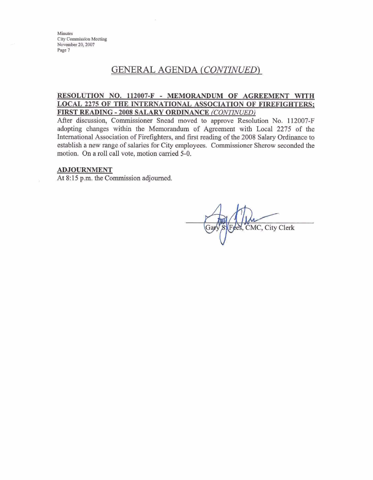# **GENERAL AGENDA** *(CONTWEED)* - -- - - - - --

#### **RESOLUTION NO. 112007-F - MEMORANDUM OF AGREEMENT WITH LOCAL 2275 OF THE INTERNATIONAL ASSOCIATION OF FIREFIGHTERS; FIRST READING - 2008 SALARY ORDINANCE** *(CONTINUED)*

After discussion, Commissioner Snead moved to approve Resolution No. **112007-F**  adopting changes within the Memorandum of Agreement **witb** Local 2275 of the International Association of Fiefighters, and **first** reading of the **2008** Salary Ordinance to establish a **new** range of salaries for City employees. Commissioner Sherow seconded the motion. On a roll call vote, motion carried **5-0.** 

#### **ADJOURNMENT**

At 8:15 p.m. the Commission adjourned.

ees, CMC, City Clerk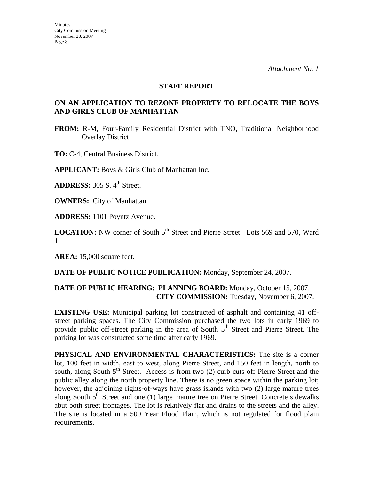#### **STAFF REPORT**

# **ON AN APPLICATION TO REZONE PROPERTY TO RELOCATE THE BOYS AND GIRLS CLUB OF MANHATTAN**

**FROM:** R-M, Four-Family Residential District with TNO, Traditional Neighborhood Overlay District.

**TO:** C-4, Central Business District.

**APPLICANT:** Boys & Girls Club of Manhattan Inc.

**ADDRESS:** 305 S. 4<sup>th</sup> Street.

**OWNERS:** City of Manhattan.

**ADDRESS:** 1101 Poyntz Avenue.

**LOCATION:** NW corner of South 5<sup>th</sup> Street and Pierre Street. Lots 569 and 570, Ward 1.

**AREA:** 15,000 square feet.

**DATE OF PUBLIC NOTICE PUBLICATION:** Monday, September 24, 2007.

## **DATE OF PUBLIC HEARING: PLANNING BOARD:** Monday, October 15, 2007. **CITY COMMISSION:** Tuesday, November 6, 2007.

**EXISTING USE:** Municipal parking lot constructed of asphalt and containing 41 offstreet parking spaces. The City Commission purchased the two lots in early 1969 to provide public off-street parking in the area of South  $5<sup>th</sup>$  Street and Pierre Street. The parking lot was constructed some time after early 1969.

**PHYSICAL AND ENVIRONMENTAL CHARACTERISTICS:** The site is a corner lot, 100 feet in width, east to west, along Pierre Street, and 150 feet in length, north to south, along South  $5<sup>th</sup>$  Street. Access is from two (2) curb cuts off Pierre Street and the public alley along the north property line. There is no green space within the parking lot; however, the adjoining rights-of-ways have grass islands with two (2) large mature trees along South  $5<sup>th</sup>$  Street and one (1) large mature tree on Pierre Street. Concrete sidewalks abut both street frontages. The lot is relatively flat and drains to the streets and the alley. The site is located in a 500 Year Flood Plain, which is not regulated for flood plain requirements.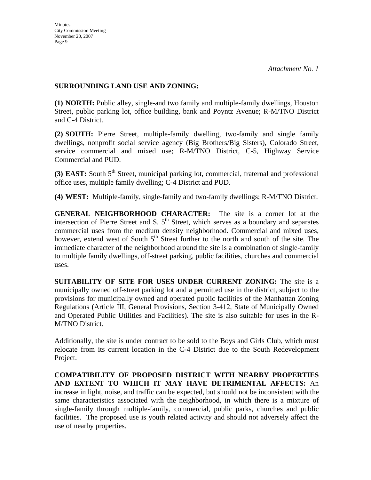### **SURROUNDING LAND USE AND ZONING:**

**(1) NORTH:** Public alley, single-and two family and multiple-family dwellings, Houston Street, public parking lot, office building, bank and Poyntz Avenue; R-M/TNO District and C-4 District.

**(2) SOUTH:** Pierre Street, multiple-family dwelling, two-family and single family dwellings, nonprofit social service agency (Big Brothers/Big Sisters), Colorado Street, service commercial and mixed use; R-M/TNO District, C-5, Highway Service Commercial and PUD.

**(3) EAST:** South 5<sup>th</sup> Street, municipal parking lot, commercial, fraternal and professional office uses, multiple family dwelling; C-4 District and PUD.

**(4) WEST:** Multiple-family, single-family and two-family dwellings; R-M/TNO District.

**GENERAL NEIGHBORHOOD CHARACTER:** The site is a corner lot at the intersection of Pierre Street and S.  $5<sup>th</sup>$  Street, which serves as a boundary and separates commercial uses from the medium density neighborhood. Commercial and mixed uses, however, extend west of South  $5<sup>th</sup>$  Street further to the north and south of the site. The immediate character of the neighborhood around the site is a combination of single-family to multiple family dwellings, off-street parking, public facilities, churches and commercial uses.

**SUITABILITY OF SITE FOR USES UNDER CURRENT ZONING:** The site is a municipally owned off-street parking lot and a permitted use in the district, subject to the provisions for municipally owned and operated public facilities of the Manhattan Zoning Regulations (Article III, General Provisions, Section 3-412, State of Municipally Owned and Operated Public Utilities and Facilities). The site is also suitable for uses in the R-M/TNO District.

Additionally, the site is under contract to be sold to the Boys and Girls Club, which must relocate from its current location in the C-4 District due to the South Redevelopment Project.

**COMPATIBILITY OF PROPOSED DISTRICT WITH NEARBY PROPERTIES AND EXTENT TO WHICH IT MAY HAVE DETRIMENTAL AFFECTS:** An increase in light, noise, and traffic can be expected, but should not be inconsistent with the same characteristics associated with the neighborhood, in which there is a mixture of single-family through multiple-family, commercial, public parks, churches and public facilities. The proposed use is youth related activity and should not adversely affect the use of nearby properties.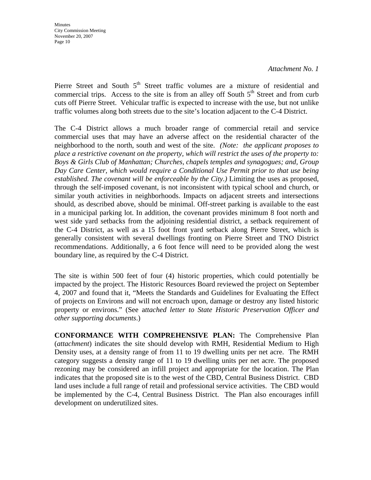*Attachment No. 1* 

Pierre Street and South  $5<sup>th</sup>$  Street traffic volumes are a mixture of residential and commercial trips. Access to the site is from an alley off South  $5<sup>th</sup>$  Street and from curb cuts off Pierre Street. Vehicular traffic is expected to increase with the use, but not unlike traffic volumes along both streets due to the site's location adjacent to the C-4 District.

The C-4 District allows a much broader range of commercial retail and service commercial uses that may have an adverse affect on the residential character of the neighborhood to the north, south and west of the site. *(Note: the applicant proposes to place a restrictive covenant on the property, which will restrict the uses of the property to: Boys & Girls Club of Manhattan; Churches, chapels temples and synagogues; and, Group Day Care Center, which would require a Conditional Use Permit prior to that use being established. The covenant will be enforceable by the City.)* Limiting the uses as proposed, through the self-imposed covenant, is not inconsistent with typical school and church, or similar youth activities in neighborhoods. Impacts on adjacent streets and intersections should, as described above, should be minimal. Off-street parking is available to the east in a municipal parking lot. In addition, the covenant provides minimum 8 foot north and west side yard setbacks from the adjoining residential district, a setback requirement of the C-4 District, as well as a 15 foot front yard setback along Pierre Street, which is generally consistent with several dwellings fronting on Pierre Street and TNO District recommendations. Additionally, a 6 foot fence will need to be provided along the west boundary line, as required by the C-4 District.

The site is within 500 feet of four (4) historic properties, which could potentially be impacted by the project. The Historic Resources Board reviewed the project on September 4, 2007 and found that it, "Meets the Standards and Guidelines for Evaluating the Effect of projects on Environs and will not encroach upon, damage or destroy any listed historic property or environs." (See a*ttached letter to State Historic Preservation Officer and other supporting documents*.)

**CONFORMANCE WITH COMPREHENSIVE PLAN:** The Comprehensive Plan (*attachment*) indicates the site should develop with RMH, Residential Medium to High Density uses, at a density range of from 11 to 19 dwelling units per net acre. The RMH category suggests a density range of 11 to 19 dwelling units per net acre. The proposed rezoning may be considered an infill project and appropriate for the location. The Plan indicates that the proposed site is to the west of the CBD, Central Business District. CBD land uses include a full range of retail and professional service activities. The CBD would be implemented by the C-4, Central Business District. The Plan also encourages infill development on underutilized sites.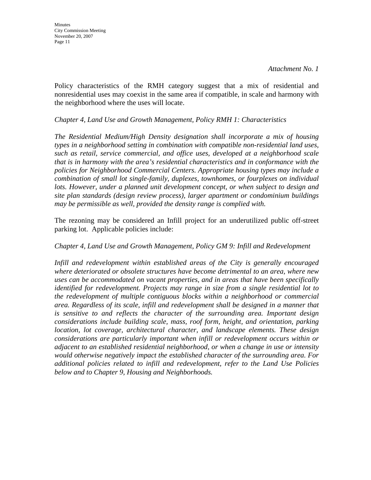Policy characteristics of the RMH category suggest that a mix of residential and nonresidential uses may coexist in the same area if compatible, in scale and harmony with the neighborhood where the uses will locate.

### *Chapter 4, Land Use and Growth Management, Policy RMH 1: Characteristics*

*The Residential Medium/High Density designation shall incorporate a mix of housing types in a neighborhood setting in combination with compatible non-residential land uses, such as retail, service commercial, and office uses, developed at a neighborhood scale that is in harmony with the area's residential characteristics and in conformance with the policies for Neighborhood Commercial Centers. Appropriate housing types may include a combination of small lot single-family, duplexes, townhomes, or fourplexes on individual*  lots. However, under a planned unit development concept, or when subject to design and *site plan standards (design review process), larger apartment or condominium buildings may be permissible as well, provided the density range is complied with.* 

The rezoning may be considered an Infill project for an underutilized public off-street parking lot. Applicable policies include:

## *Chapter 4, Land Use and Growth Management, Policy GM 9: Infill and Redevelopment*

*Infill and redevelopment within established areas of the City is generally encouraged where deteriorated or obsolete structures have become detrimental to an area, where new uses can be accommodated on vacant properties, and in areas that have been specifically identified for redevelopment. Projects may range in size from a single residential lot to the redevelopment of multiple contiguous blocks within a neighborhood or commercial area. Regardless of its scale, infill and redevelopment shall be designed in a manner that is sensitive to and reflects the character of the surrounding area. Important design considerations include building scale, mass, roof form, height, and orientation, parking location, lot coverage, architectural character, and landscape elements. These design considerations are particularly important when infill or redevelopment occurs within or adjacent to an established residential neighborhood, or when a change in use or intensity would otherwise negatively impact the established character of the surrounding area. For additional policies related to infill and redevelopment, refer to the Land Use Policies below and to Chapter 9, Housing and Neighborhoods.*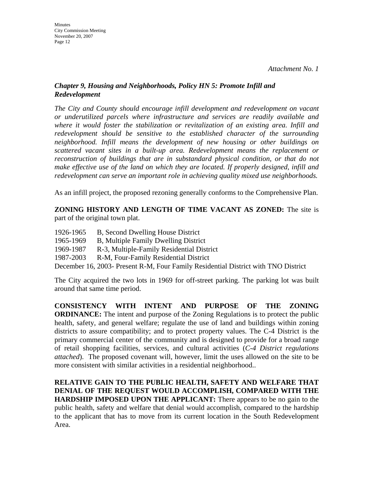# *Chapter 9, Housing and Neighborhoods, Policy HN 5: Promote Infill and Redevelopment*

*The City and County should encourage infill development and redevelopment on vacant or underutilized parcels where infrastructure and services are readily available and where it would foster the stabilization or revitalization of an existing area. Infill and redevelopment should be sensitive to the established character of the surrounding neighborhood. Infill means the development of new housing or other buildings on scattered vacant sites in a built-up area. Redevelopment means the replacement or reconstruction of buildings that are in substandard physical condition, or that do not make effective use of the land on which they are located. If properly designed, infill and redevelopment can serve an important role in achieving quality mixed use neighborhoods.* 

As an infill project, the proposed rezoning generally conforms to the Comprehensive Plan.

**ZONING HISTORY AND LENGTH OF TIME VACANT AS ZONED:** The site is part of the original town plat.

- 1926-1965 B, Second Dwelling House District
- 1965-1969 B, Multiple Family Dwelling District
- 1969-1987 R-3, Multiple-Family Residential District
- 1987-2003 R-M, Four-Family Residential District

December 16, 2003- Present R-M, Four Family Residential District with TNO District

The City acquired the two lots in 1969 for off-street parking. The parking lot was built around that same time period.

**CONSISTENCY WITH INTENT AND PURPOSE OF THE ZONING ORDINANCE:** The intent and purpose of the Zoning Regulations is to protect the public health, safety, and general welfare; regulate the use of land and buildings within zoning districts to assure compatibility; and to protect property values. The C-4 District is the primary commercial center of the community and is designed to provide for a broad range of retail shopping facilities, services, and cultural activities (*C-4 District regulations attached*). The proposed covenant will, however, limit the uses allowed on the site to be more consistent with similar activities in a residential neighborhood..

# **RELATIVE GAIN TO THE PUBLIC HEALTH, SAFETY AND WELFARE THAT DENIAL OF THE REQUEST WOULD ACCOMPLISH, COMPARED WITH THE HARDSHIP IMPOSED UPON THE APPLICANT:** There appears to be no gain to the public health, safety and welfare that denial would accomplish, compared to the hardship to the applicant that has to move from its current location in the South Redevelopment Area.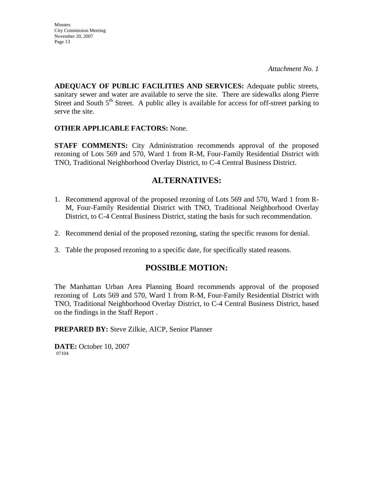**ADEQUACY OF PUBLIC FACILITIES AND SERVICES:** Adequate public streets, sanitary sewer and water are available to serve the site. There are sidewalks along Pierre Street and South  $5<sup>th</sup>$  Street. A public alley is available for access for off-street parking to serve the site.

# **OTHER APPLICABLE FACTORS:** None.

**STAFF COMMENTS:** City Administration recommends approval of the proposed rezoning of Lots 569 and 570, Ward 1 from R-M, Four-Family Residential District with TNO, Traditional Neighborhood Overlay District, to C-4 Central Business District.

# **ALTERNATIVES:**

- 1. Recommend approval of the proposed rezoning of Lots 569 and 570, Ward 1 from R-M, Four-Family Residential District with TNO, Traditional Neighborhood Overlay District, to C-4 Central Business District, stating the basis for such recommendation.
- 2. Recommend denial of the proposed rezoning, stating the specific reasons for denial.
- 3. Table the proposed rezoning to a specific date, for specifically stated reasons.

# **POSSIBLE MOTION:**

The Manhattan Urban Area Planning Board recommends approval of the proposed rezoning of Lots 569 and 570, Ward 1 from R-M, Four-Family Residential District with TNO, Traditional Neighborhood Overlay District, to C-4 Central Business District, based on the findings in the Staff Report .

**PREPARED BY:** Steve Zilkie, AICP, Senior Planner

**DATE:** October 10, 2007 07104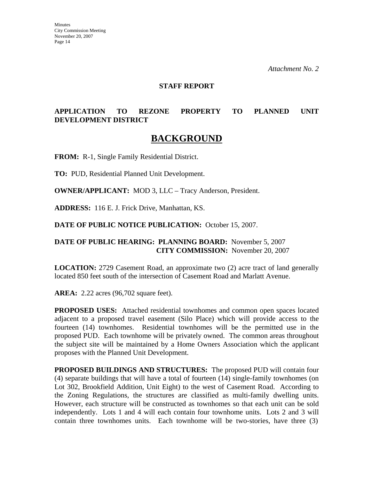#### **STAFF REPORT**

# **APPLICATION TO REZONE PROPERTY TO PLANNED UNIT DEVELOPMENT DISTRICT**

# **BACKGROUND**

**FROM:** R-1, Single Family Residential District.

**TO:** PUD, Residential Planned Unit Development.

**OWNER/APPLICANT:** MOD 3, LLC – Tracy Anderson, President.

**ADDRESS:** 116 E. J. Frick Drive, Manhattan, KS.

**DATE OF PUBLIC NOTICE PUBLICATION:** October 15, 2007.

### **DATE OF PUBLIC HEARING: PLANNING BOARD:** November 5, 2007 **CITY COMMISSION:** November 20, 2007

**LOCATION:** 2729 Casement Road, an approximate two (2) acre tract of land generally located 850 feet south of the intersection of Casement Road and Marlatt Avenue.

**AREA:** 2.22 acres (96,702 square feet).

**PROPOSED USES:** Attached residential townhomes and common open spaces located adjacent to a proposed travel easement (Silo Place) which will provide access to the fourteen (14) townhomes. Residential townhomes will be the permitted use in the proposed PUD. Each townhome will be privately owned. The common areas throughout the subject site will be maintained by a Home Owners Association which the applicant proposes with the Planned Unit Development.

**PROPOSED BUILDINGS AND STRUCTURES:** The proposed PUD will contain four (4) separate buildings that will have a total of fourteen (14) single-family townhomes (on Lot 302, Brookfield Addition, Unit Eight) to the west of Casement Road. According to the Zoning Regulations, the structures are classified as multi-family dwelling units. However, each structure will be constructed as townhomes so that each unit can be sold independently. Lots 1 and 4 will each contain four townhome units. Lots 2 and 3 will contain three townhomes units. Each townhome will be two-stories, have three (3)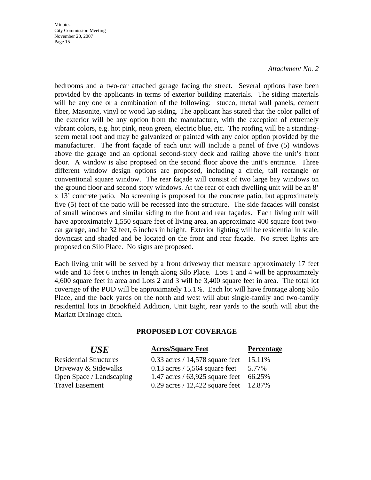#### *Attachment No. 2*

bedrooms and a two-car attached garage facing the street. Several options have been provided by the applicants in terms of exterior building materials. The siding materials will be any one or a combination of the following: stucco, metal wall panels, cement fiber, Masonite, vinyl or wood lap siding. The applicant has stated that the color pallet of the exterior will be any option from the manufacture, with the exception of extremely vibrant colors, e.g. hot pink, neon green, electric blue, etc. The roofing will be a standingseem metal roof and may be galvanized or painted with any color option provided by the manufacturer. The front façade of each unit will include a panel of five (5) windows above the garage and an optional second-story deck and railing above the unit's front door. A window is also proposed on the second floor above the unit's entrance. Three different window design options are proposed, including a circle, tall rectangle or conventional square window. The rear façade will consist of two large bay windows on the ground floor and second story windows. At the rear of each dwelling unit will be an 8' x 13' concrete patio. No screening is proposed for the concrete patio, but approximately five (5) feet of the patio will be recessed into the structure. The side facades will consist of small windows and similar siding to the front and rear façades. Each living unit will have approximately 1,550 square feet of living area, an approximate 400 square foot twocar garage, and be 32 feet, 6 inches in height. Exterior lighting will be residential in scale, downcast and shaded and be located on the front and rear façade. No street lights are proposed on Silo Place. No signs are proposed.

Each living unit will be served by a front driveway that measure approximately 17 feet wide and 18 feet 6 inches in length along Silo Place. Lots 1 and 4 will be approximately 4,600 square feet in area and Lots 2 and 3 will be 3,400 square feet in area. The total lot coverage of the PUD will be approximately 15.1%. Each lot will have frontage along Silo Place, and the back yards on the north and west will abut single-family and two-family residential lots in Brookfield Addition, Unit Eight, rear yards to the south will abut the Marlatt Drainage ditch.

## **PROPOSED LOT COVERAGE**

| <b>USE</b>                    | <b>Acres/Square Feet</b>                 | <b>Percentage</b> |
|-------------------------------|------------------------------------------|-------------------|
| <b>Residential Structures</b> | $0.33$ acres / 14,578 square feet        | 15.11\%           |
| Driveway & Sidewalks          | 0.13 acres $/ 5,564$ square feet 5.77%   |                   |
| Open Space / Landscaping      | 1.47 acres / 63,925 square feet 66.25%   |                   |
| <b>Travel Easement</b>        | 0.29 acres $/ 12,422$ square feet 12.87% |                   |
|                               |                                          |                   |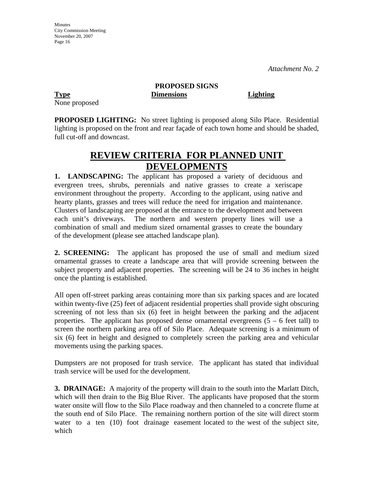None proposed

# **PROPOSED SIGNS Type Dimensions Lighting**

**PROPOSED LIGHTING:** No street lighting is proposed along Silo Place. Residential lighting is proposed on the front and rear façade of each town home and should be shaded, full cut-off and downcast.

# **REVIEW CRITERIA FOR PLANNED UNIT DEVELOPMENTS**

**1. LANDSCAPING:** The applicant has proposed a variety of deciduous and evergreen trees, shrubs, perennials and native grasses to create a xeriscape environment throughout the property. According to the applicant, using native and hearty plants, grasses and trees will reduce the need for irrigation and maintenance. Clusters of landscaping are proposed at the entrance to the development and between each unit's driveways. The northern and western property lines will use a combination of small and medium sized ornamental grasses to create the boundary of the development (please see attached landscape plan).

**2. SCREENING:** The applicant has proposed the use of small and medium sized ornamental grasses to create a landscape area that will provide screening between the subject property and adjacent properties. The screening will be 24 to 36 inches in height once the planting is established.

All open off-street parking areas containing more than six parking spaces and are located within twenty-five (25) feet of adjacent residential properties shall provide sight obscuring screening of not less than six (6) feet in height between the parking and the adjacent properties. The applicant has proposed dense ornamental evergreens  $(5 - 6$  feet tall) to screen the northern parking area off of Silo Place. Adequate screening is a minimum of six (6) feet in height and designed to completely screen the parking area and vehicular movements using the parking spaces.

Dumpsters are not proposed for trash service. The applicant has stated that individual trash service will be used for the development.

**3. DRAINAGE:** A majority of the property will drain to the south into the Marlatt Ditch, which will then drain to the Big Blue River. The applicants have proposed that the storm water onsite will flow to the Silo Place roadway and then channeled to a concrete flume at the south end of Silo Place. The remaining northern portion of the site will direct storm water to a ten (10) foot drainage easement located to the west of the subject site, which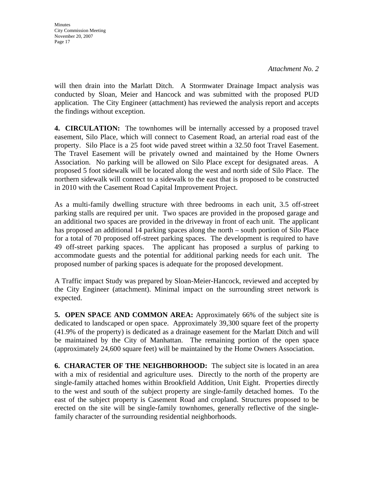*Attachment No. 2* 

will then drain into the Marlatt Ditch. A Stormwater Drainage Impact analysis was conducted by Sloan, Meier and Hancock and was submitted with the proposed PUD application. The City Engineer (attachment) has reviewed the analysis report and accepts the findings without exception.

**4. CIRCULATION:** The townhomes will be internally accessed by a proposed travel easement, Silo Place, which will connect to Casement Road, an arterial road east of the property. Silo Place is a 25 foot wide paved street within a 32.50 foot Travel Easement. The Travel Easement will be privately owned and maintained by the Home Owners Association. No parking will be allowed on Silo Place except for designated areas. A proposed 5 foot sidewalk will be located along the west and north side of Silo Place. The northern sidewalk will connect to a sidewalk to the east that is proposed to be constructed in 2010 with the Casement Road Capital Improvement Project.

As a multi-family dwelling structure with three bedrooms in each unit, 3.5 off-street parking stalls are required per unit. Two spaces are provided in the proposed garage and an additional two spaces are provided in the driveway in front of each unit. The applicant has proposed an additional 14 parking spaces along the north – south portion of Silo Place for a total of 70 proposed off-street parking spaces. The development is required to have 49 off-street parking spaces. The applicant has proposed a surplus of parking to accommodate guests and the potential for additional parking needs for each unit. The proposed number of parking spaces is adequate for the proposed development.

A Traffic impact Study was prepared by Sloan-Meier-Hancock, reviewed and accepted by the City Engineer (attachment). Minimal impact on the surrounding street network is expected.

**5. OPEN SPACE AND COMMON AREA:** Approximately 66% of the subject site is dedicated to landscaped or open space. Approximately 39,300 square feet of the property (41.9% of the property) is dedicated as a drainage easement for the Marlatt Ditch and will be maintained by the City of Manhattan. The remaining portion of the open space (approximately 24,600 square feet) will be maintained by the Home Owners Association.

**6. CHARACTER OF THE NEIGHBORHOOD:** The subject site is located in an area with a mix of residential and agriculture uses. Directly to the north of the property are single-family attached homes within Brookfield Addition, Unit Eight. Properties directly to the west and south of the subject property are single-family detached homes. To the east of the subject property is Casement Road and cropland. Structures proposed to be erected on the site will be single-family townhomes, generally reflective of the singlefamily character of the surrounding residential neighborhoods.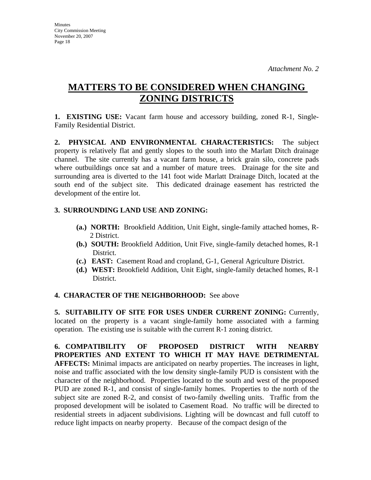# **MATTERS TO BE CONSIDERED WHEN CHANGING ZONING DISTRICTS**

**1. EXISTING USE:** Vacant farm house and accessory building, zoned R-1, Single-Family Residential District.

**2. PHYSICAL AND ENVIRONMENTAL CHARACTERISTICS:** The subject property is relatively flat and gently slopes to the south into the Marlatt Ditch drainage channel. The site currently has a vacant farm house, a brick grain silo, concrete pads where outbuildings once sat and a number of mature trees. Drainage for the site and surrounding area is diverted to the 141 foot wide Marlatt Drainage Ditch, located at the south end of the subject site. This dedicated drainage easement has restricted the development of the entire lot.

# **3. SURROUNDING LAND USE AND ZONING:**

- **(a.) NORTH:** Brookfield Addition, Unit Eight, single-family attached homes, R-2 District.
- **(b.) SOUTH:** Brookfield Addition, Unit Five, single-family detached homes, R-1 District.
- **(c.) EAST:** Casement Road and cropland, G-1, General Agriculture District.
- **(d.) WEST:** Brookfield Addition, Unit Eight, single-family detached homes, R-1 District.

## **4. CHARACTER OF THE NEIGHBORHOOD:** See above

**5. SUITABILITY OF SITE FOR USES UNDER CURRENT ZONING:** Currently, located on the property is a vacant single-family home associated with a farming operation. The existing use is suitable with the current R-1 zoning district.

**6. COMPATIBILITY OF PROPOSED DISTRICT WITH NEARBY PROPERTIES AND EXTENT TO WHICH IT MAY HAVE DETRIMENTAL AFFECTS:** Minimal impacts are anticipated on nearby properties. The increases in light, noise and traffic associated with the low density single-family PUD is consistent with the character of the neighborhood. Properties located to the south and west of the proposed PUD are zoned R-1, and consist of single-family homes. Properties to the north of the subject site are zoned R-2, and consist of two-family dwelling units. Traffic from the proposed development will be isolated to Casement Road. No traffic will be directed to residential streets in adjacent subdivisions. Lighting will be downcast and full cutoff to reduce light impacts on nearby property. Because of the compact design of the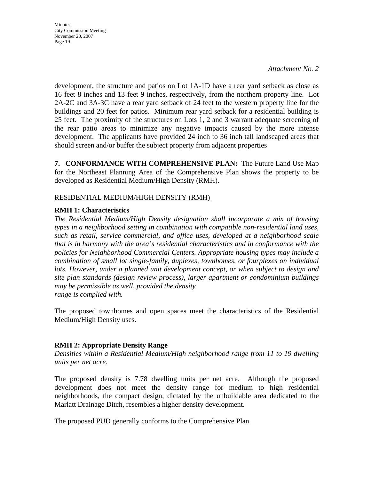*Attachment No. 2* 

development, the structure and patios on Lot 1A-1D have a rear yard setback as close as 16 feet 8 inches and 13 feet 9 inches, respectively, from the northern property line. Lot 2A-2C and 3A-3C have a rear yard setback of 24 feet to the western property line for the buildings and 20 feet for patios. Minimum rear yard setback for a residential building is 25 feet. The proximity of the structures on Lots 1, 2 and 3 warrant adequate screening of the rear patio areas to minimize any negative impacts caused by the more intense development. The applicants have provided 24 inch to 36 inch tall landscaped areas that should screen and/or buffer the subject property from adjacent properties

**7. CONFORMANCE WITH COMPREHENSIVE PLAN:** The Future Land Use Map for the Northeast Planning Area of the Comprehensive Plan shows the property to be developed as Residential Medium/High Density (RMH).

## RESIDENTIAL MEDIUM/HIGH DENSITY (RMH)

## **RMH 1: Characteristics**

*The Residential Medium/High Density designation shall incorporate a mix of housing types in a neighborhood setting in combination with compatible non-residential land uses, such as retail, service commercial, and office uses, developed at a neighborhood scale that is in harmony with the area's residential characteristics and in conformance with the policies for Neighborhood Commercial Centers. Appropriate housing types may include a combination of small lot single-family, duplexes, townhomes, or fourplexes on individual*  lots. However, under a planned unit development concept, or when subject to design and *site plan standards (design review process), larger apartment or condominium buildings may be permissible as well, provided the density range is complied with.* 

The proposed townhomes and open spaces meet the characteristics of the Residential Medium/High Density uses.

# **RMH 2: Appropriate Density Range**

*Densities within a Residential Medium/High neighborhood range from 11 to 19 dwelling units per net acre.* 

The proposed density is 7.78 dwelling units per net acre. Although the proposed development does not meet the density range for medium to high residential neighborhoods, the compact design, dictated by the unbuildable area dedicated to the Marlatt Drainage Ditch, resembles a higher density development.

The proposed PUD generally conforms to the Comprehensive Plan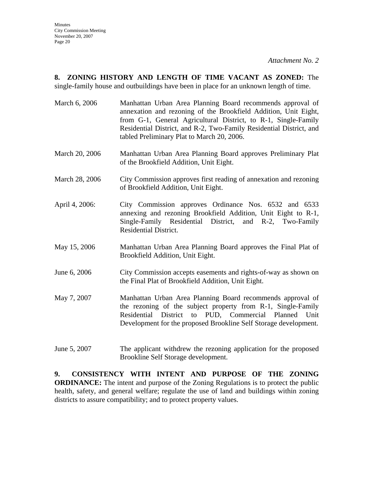**8. ZONING HISTORY AND LENGTH OF TIME VACANT AS ZONED:** The single-family house and outbuildings have been in place for an unknown length of time.

- March 6, 2006 Manhattan Urban Area Planning Board recommends approval of annexation and rezoning of the Brookfield Addition, Unit Eight, from G-1, General Agricultural District, to R-1, Single-Family Residential District, and R-2, Two-Family Residential District, and tabled Preliminary Plat to March 20, 2006.
- March 20, 2006 Manhattan Urban Area Planning Board approves Preliminary Plat of the Brookfield Addition, Unit Eight.
- March 28, 2006 City Commission approves first reading of annexation and rezoning of Brookfield Addition, Unit Eight.
- April 4, 2006: City Commission approves Ordinance Nos. 6532 and 6533 annexing and rezoning Brookfield Addition, Unit Eight to R-1, Single-Family Residential District, and R-2, Two-Family Residential District.
- May 15, 2006 Manhattan Urban Area Planning Board approves the Final Plat of Brookfield Addition, Unit Eight.
- June 6, 2006 City Commission accepts easements and rights-of-way as shown on the Final Plat of Brookfield Addition, Unit Eight.
- May 7, 2007 Manhattan Urban Area Planning Board recommends approval of the rezoning of the subject property from R-1, Single-Family Residential District to PUD, Commercial Planned Unit Development for the proposed Brookline Self Storage development.
- June 5, 2007 The applicant withdrew the rezoning application for the proposed Brookline Self Storage development.

**9. CONSISTENCY WITH INTENT AND PURPOSE OF THE ZONING ORDINANCE:** The intent and purpose of the Zoning Regulations is to protect the public health, safety, and general welfare; regulate the use of land and buildings within zoning districts to assure compatibility; and to protect property values.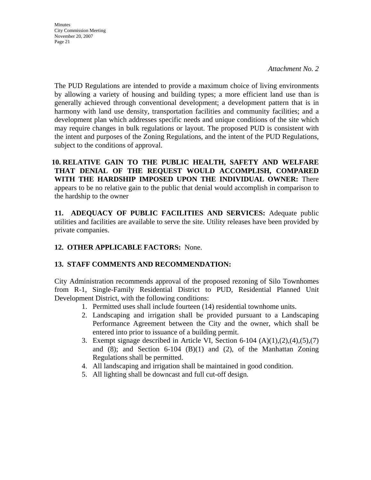*Attachment No. 2* 

The PUD Regulations are intended to provide a maximum choice of living environments by allowing a variety of housing and building types; a more efficient land use than is generally achieved through conventional development; a development pattern that is in harmony with land use density, transportation facilities and community facilities; and a development plan which addresses specific needs and unique conditions of the site which may require changes in bulk regulations or layout. The proposed PUD is consistent with the intent and purposes of the Zoning Regulations, and the intent of the PUD Regulations, subject to the conditions of approval.

**10. RELATIVE GAIN TO THE PUBLIC HEALTH, SAFETY AND WELFARE THAT DENIAL OF THE REQUEST WOULD ACCOMPLISH, COMPARED WITH THE HARDSHIP IMPOSED UPON THE INDIVIDUAL OWNER:** There appears to be no relative gain to the public that denial would accomplish in comparison to the hardship to the owner

**11. ADEQUACY OF PUBLIC FACILITIES AND SERVICES:** Adequate public utilities and facilities are available to serve the site. Utility releases have been provided by private companies.

# **12. OTHER APPLICABLE FACTORS:** None.

## **13. STAFF COMMENTS AND RECOMMENDATION:**

City Administration recommends approval of the proposed rezoning of Silo Townhomes from R-1, Single-Family Residential District to PUD, Residential Planned Unit Development District, with the following conditions:

- 1. Permitted uses shall include fourteen (14) residential townhome units.
- 2. Landscaping and irrigation shall be provided pursuant to a Landscaping Performance Agreement between the City and the owner, which shall be entered into prior to issuance of a building permit.
- 3. Exempt signage described in Article VI, Section 6-104  $(A)(1),(2),(4),(5),(7)$ and  $(8)$ ; and Section  $6-104$   $(B)(1)$  and  $(2)$ , of the Manhattan Zoning Regulations shall be permitted.
- 4. All landscaping and irrigation shall be maintained in good condition.
- 5. All lighting shall be downcast and full cut-off design.